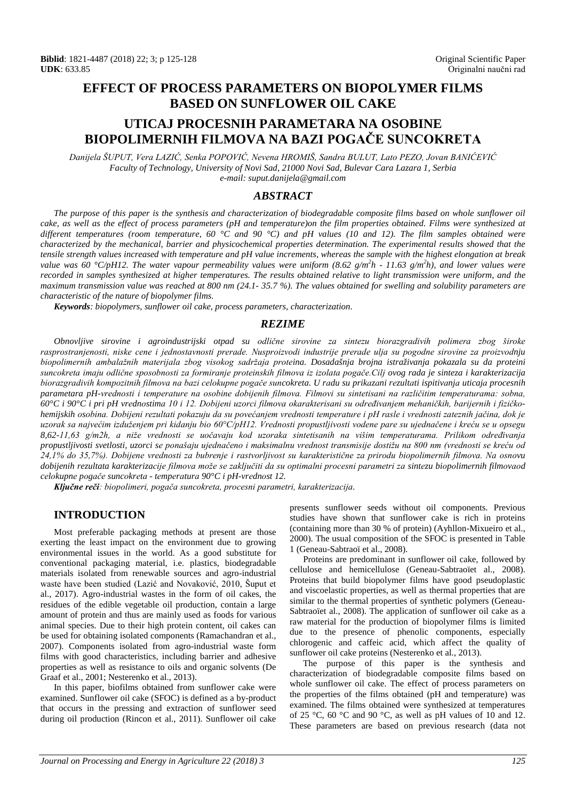# **EFFECT OF PROCESS PARAMETERS ON BIOPOLYMER FILMS BASED ON SUNFLOWER OIL CAKE**

# **UTICAJ PROCESNIH PARAMETARA NA OSOBINE BIOPOLIMERNIH FILMOVA NA BAZI POGAČE SUNCOKRETA**

*Danijela ŠUPUT, Vera LAZIĆ, Senka POPOVIĆ, Nevena HROMIŠ, Sandra BULUT, Lato PEZO, Jovan BANIĆEVIĆ Faculty of Technology, University of Novi Sad, 21000 Novi Sad, Bulevar Cara Lazara 1, Serbia e-mail: [suput.danijela@gmail.com](mailto:suput.danijela@gmail.com)*

# *ABSTRACT*

*The purpose of this paper is the synthesis and characterization of biodegradable composite films based on whole sunflower oil cake, as well as the effect of process parameters (pH and temperature)on the film properties obtained. Films were synthesized at different temperatures (room temperature, 60 °C and 90 °C) and pH values (10 and 12). The film samples obtained were characterized by the mechanical, barrier and physicochemical properties determination. The experimental results showed that the tensile strength values increased with temperature and pH value increments, whereas the sample with the highest elongation at break value was 60 °C/pH12. The water vapour permeability values were uniform (8.62 g/m<sup>2</sup> h - 11.63 g/m<sup>2</sup> h), and lower values were recorded in samples synthesized at higher temperatures. The results obtained relative to light transmission were uniform, and the maximum transmission value was reached at 800 nm (24.1- 35.7 %). The values obtained for swelling and solubility parameters are characteristic of the nature of biopolymer films.*

*Keywords: biopolymers, sunflower oil cake, process parameters, characterization.*

## *REZIME*

*Obnovljive sirovine i agroindustrijski otpad su odličnе sirоvinе zа sintеzu biorazgradivih polimera zbog široke rasprostranjenosti, niske cene i jednostavnosti prerade. Nusproizvodi industrije prеrаdе ulјa su pоgоdnе sirоvinе za proizvodnju biopolimernih ambalažnih materijala zbоg visokоg sadržajа proteina. Dosadašnja brojna istraživanja pokazala su da proteini suncokreta imaju odlične sposobnosti za formiranje proteinskih filmova iz izolata pogače.Cilј ovog rada je sinteza i karakterizacija*  biorazgradivih kompozitnih filmova na bazi celokupne pogače suncokreta. U radu su prikazani rezultati ispitivanja uticaja procesnih *parametara pH-vrednosti i temperature na osobine dobijenih filmova. Filmovi su sintetisani na različitim temperaturama: sobna, 60°C i 90°C i pri pH vrеdnоstimа 10 i 12. Dobijeni uzorci filmova okarakterisani su određivanjem mehaničkih, barijernih i fizičkohemijskih оsоbina. Dobijeni rezultati pokazuju da su povećanjem vrednosti temperature i pH rasle i vrednosti zateznih jačina, dok je uzorak sa najvećim izduženjem pri kidanju bio 60°C/pH12. Vrednosti propustljivosti vodene pare su ujednačene i kreću se u opsegu 8,62-11,63 g/m2h, a niže vrednosti se uočavaju kod uzoraka sintetisanih na višim temperaturama. Prilikom određivanja propustljivosti svetlosti, uzorci se ponašaju ujednačeno i maksimalnu vrednost transmisije dostižu na 800 nm (vrednosti se kreću od 24,1% do 35,7%). Dobijene vrednosti za bubrenje i rastvorljivost su karakteristične za prirodu biopolimernih filmova. Na osnovu*  dobijenih rezultata karakterizacije filmova može se zaključiti da su optimalni procesni parametri za sintezu biopolimernih filmovaod celokupne pogače suncokreta - temperatura  $90^{\circ}$ C i pH-vrednost 12.

*Ključne reči: biopolimeri, pogača suncokreta, procesni parametri, karakterizacija.*

## **INTRODUCTION**

Most preferable packaging methods at present are those exerting the least impact on the environment due to growing environmental issues in the world. As a good substitute for conventional packaging material, i.e. plastics, biodegradable materials isolated from renewable sources and agro-industrial waste have been studied (Lazić and Novaković, 2010, Šuput et al., 2017). Agro-industrial wastes in the form of oil cakes, the residues of the edible vegetable oil production, contain a large amount of protein and thus are mainly used as foods for various animal species. Due to their high protein content, oil cakes can be used for obtaining isolated components (Ramachandran et al., 2007). Components isolated from agro-industrial waste form films with good characteristics, including barrier and adhesive properties as well as resistance to oils and organic solvents (De Graaf et al., 2001; Nesterenko et al., 2013).

In this paper, biofilms obtained from sunflower cake were examined. Sunflower oil cake (SFOC) is defined as a by-product that occurs in the pressing and extraction of sunflower seed during oil production (Rincon et al., 2011). Sunflower oil cake presents sunflower seeds without oil components. Previous studies have shown that sunflower cake is rich in proteins (containing more than 30 % of protein) (Ayhllon-Mixueiro et al., 2000). The usual composition of the SFOC is presented in Table 1 (Geneau-Sabtraoï et al., 2008).

Proteins are predominant in sunflower oil cake, followed by cellulose and hemicellulose (Geneau-Sabtraoïet al., 2008). Proteins that build biopolymer films have good pseudoplastic and viscoelastic properties, as well as thermal properties that are similar to the thermal properties of synthetic polymers (Geneau-Sabtraoïet al., 2008). The application of sunflower oil cake as a raw material for the production of biopolymer films is limited due to the presence of phenolic components, especially chlorogenic and caffeic acid, which affect the quality of sunflower oil cake proteins (Nesterenko et al., 2013).

The purpose of this paper is the synthesis and characterization of biodegradable composite films based on whole sunflower oil cake. The effect of process parameters on the properties of the films obtained (pH and temperature) was examined. The films obtained were synthesized at temperatures of 25 °C, 60 °C and 90 °C, as well as pH values of 10 and 12. These parameters are based on previous research (data not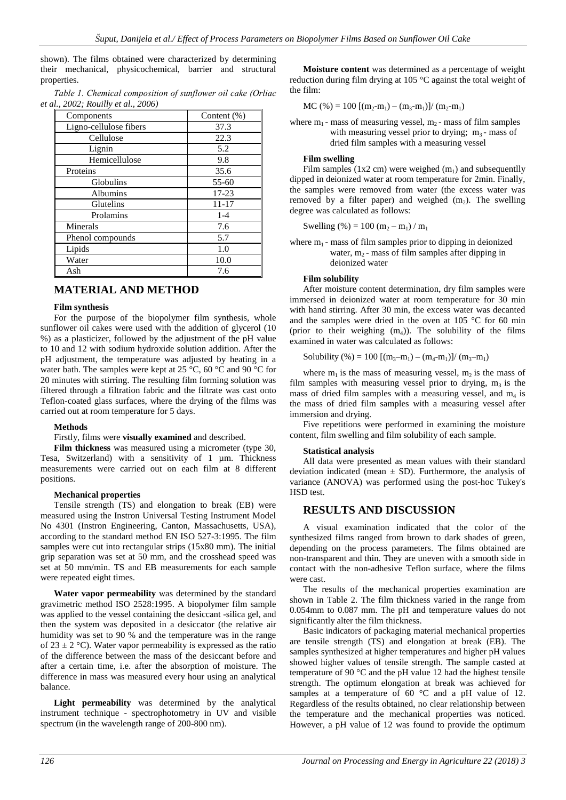shown). The films obtained were characterized by determining their mechanical, physicochemical, barrier and structural properties.

|                                            |  | Table 1. Chemical composition of sunflower oil cake (Orliac |  |
|--------------------------------------------|--|-------------------------------------------------------------|--|
| <i>et al., 2002; Rouilly et al., 2006)</i> |  |                                                             |  |

| Components             | Content $(\%)$ |  |
|------------------------|----------------|--|
| Ligno-cellulose fibers | 37.3           |  |
| Cellulose              | 22.3           |  |
| Lignin                 | 5.2            |  |
| Hemicellulose          | 9.8            |  |
| Proteins               | 35.6           |  |
| Globulins              | $55 - 60$      |  |
| Albumins               | $17 - 23$      |  |
| Glutelins              | $11 - 17$      |  |
| Prolamins              | $1 - 4$        |  |
| Minerals               | 7.6            |  |
| Phenol compounds       | 5.7            |  |
| Lipids                 | 1.0            |  |
| Water                  | 10.0           |  |
| Ash                    | 7.6            |  |

# **MATERIAL AND METHOD**

## **Film synthesis**

For the purpose of the biopolymer film synthesis, whole sunflower oil cakes were used with the addition of glycerol (10) %) as a plasticizer, followed by the adjustment of the pH value to 10 and 12 with sodium hydroxide solution addition. After the pH adjustment, the temperature was adjusted by heating in a water bath. The samples were kept at 25  $\degree$ C, 60  $\degree$ C and 90  $\degree$ C for 20 minutes with stirring. The resulting film forming solution was filtered through a filtration fabric and the filtrate was cast onto Teflon-coated glass surfaces, where the drying of the films was carried out at room temperature for 5 days.

## **Methods**

## Firstly, films were **visually examined** and described.

**Film thickness** was measured using a micrometer (type 30, Tesa, Switzerland) with a sensitivity of 1 µm. Thickness measurements were carried out on each film at 8 different positions.

### **Mechanical properties**

Tensile strength (TS) and elongation to break (EB) were measured using the Instron Universal Testing Instrument Model No 4301 (Instron Engineering, Canton, Massachusetts, USA), according to the standard method EN ISO 527-3:1995. The film samples were cut into rectangular strips (15x80 mm). The initial grip separation was set at 50 mm, and the crosshead speed was set at 50 mm/min. TS and EB measurements for each sample were repeated eight times.

**Water vapor permeability** was determined by the standard gravimetric method ISO 2528:1995. A biopolymer film sample was applied to the vessel containing the desiccant -silica gel, and then the system was deposited in a desiccator (the relative air humidity was set to 90 % and the temperature was in the range of  $23 \pm 2$  °C). Water vapor permeability is expressed as the ratio of the difference between the mass of the desiccant before and after a certain time, i.e. after the absorption of moisture. The difference in mass was measured every hour using an analytical balance.

**Light permeability** was determined by the analytical instrument technique - spectrophotometry in UV and visible spectrum (in the wavelength range of 200-800 nm).

**Moisture content** was determined as a percentage of weight reduction during film drying at 105 °C against the total weight of the film:

 $MC$  (%) = 100 [(m<sub>2</sub>-m<sub>1</sub>) – (m<sub>3</sub>-m<sub>1</sub>)]/ (m<sub>2</sub>-m<sub>1</sub>)

where  $m_1$  - mass of measuring vessel,  $m_2$  - mass of film samples with measuring vessel prior to drying;  $m_3$ - mass of dried film samples with a measuring vessel

### **Film swelling**

Film samples (1x2 cm) were weighed  $(m_1)$  and subsequentlly dipped in deionized water at room temperature for 2min. Finally, the samples were removed from water (the excess water was removed by a filter paper) and weighed  $(m<sub>2</sub>)$ . The swelling degree was calculated as follows:

Swelling (%) = 100 (m<sub>2</sub> – m<sub>1</sub>) / m<sub>1</sub>

where  $m_1$  - mass of film samples prior to dipping in deionized water,  $m_2$  - mass of film samples after dipping in deionized water

## **Film solubility**

After moisture content determination, dry film samples were immersed in deionized water at room temperature for 30 min with hand stirring. After 30 min, the excess water was decanted and the samples were dried in the oven at 105 °C for 60 min (prior to their weighing  $(m_4)$ ). The solubility of the films examined in water was calculated as follows:

Solubility (%) = 100 
$$
[(m_3 - m_1) - (m_4 - m_1)]/(m_3 - m_1)
$$

where  $m_1$  is the mass of measuring vessel,  $m_2$  is the mass of film samples with measuring vessel prior to drying,  $m_3$  is the mass of dried film samples with a measuring vessel, and  $m<sub>4</sub>$  is the mass of dried film samples with a measuring vessel after immersion and drying.

Five repetitions were performed in examining the moisture content, film swelling and film solubility of each sample.

## **Statistical analysis**

All data were presented as mean values with their standard deviation indicated (mean  $\pm$  SD). Furthermore, the analysis of variance (ANOVA) was performed using the post-hoc Tukey's HSD test.

## **RESULTS AND DISCUSSION**

A visual examination indicated that the color of the synthesized films ranged from brown to dark shades of green, depending on the process parameters. The films obtained are non-transparent and thin. They are uneven with a smooth side in contact with the non-adhesive Teflon surface, where the films were cast.

The results of the mechanical properties examination are shown in Table 2. The film thickness varied in the range from 0.054mm to 0.087 mm. The pH and temperature values do not significantly alter the film thickness.

Basic indicators of packaging material mechanical properties are tensile strength (TS) and elongation at break (EB). The samples synthesized at higher temperatures and higher pH values showed higher values of tensile strength. The sample casted at temperature of 90 °C and the pH value 12 had the highest tensile strength. The optimum elongation at break was achieved for samples at a temperature of 60 °C and a pH value of 12. Regardless of the results obtained, no clear relationship between the temperature and the mechanical properties was noticed. However, a pH value of 12 was found to provide the optimum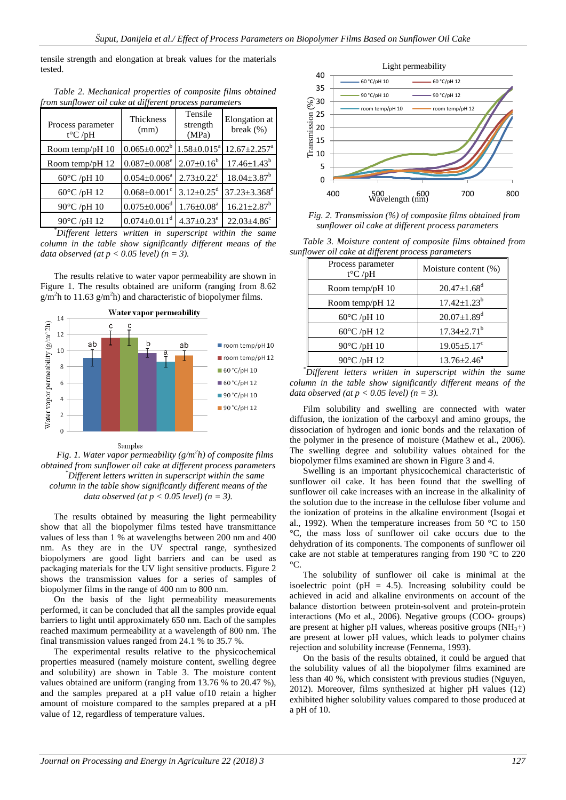tensile strength and elongation at break values for the materials tested.

| Table 2. Mechanical properties of composite films obtained |  |
|------------------------------------------------------------|--|
| from sunflower oil cake at different process parameters    |  |

| Process parameter<br>$t^{\circ}C$ /pH | Thickness<br>(mm)              | Tensile<br>strength<br>(MPa) | Elongation at<br>break $(\% )$ |
|---------------------------------------|--------------------------------|------------------------------|--------------------------------|
| Room temp/pH 10                       | $0.065 \pm 0.002^b$            | $1.58 \pm 0.015^a$           | $12.67 \pm 2.257$ <sup>a</sup> |
| Room temp/pH 12                       | $0.087 \pm 0.008$ <sup>e</sup> | $2.07 \pm 0.16^b$            | $17.46 \pm 1.43^b$             |
| $60^{\circ}$ C /pH 10                 | $0.054 \pm 0.006^a$            | $2.73 \pm 0.22$ <sup>c</sup> | $18.04 \pm 3.87^b$             |
| $60^{\circ}$ C /pH 12                 | $0.068 \pm 0.001$ <sup>c</sup> | $3.12 \pm 0.25$ <sup>d</sup> | $37.23 \pm 3.368$ <sup>d</sup> |
| 90°C /pH 10                           | $0.075 \pm 0.006$ <sup>d</sup> | $1.76 \pm 0.08^a$            | $16.21 \pm 2.87$ <sup>b</sup>  |
| 90°C /pH 12                           | $0.074 \pm 0.011$ <sup>d</sup> | $4.37 \pm 0.23$ <sup>e</sup> | $22.03 \pm 4.86$ <sup>c</sup>  |

*\* Different letters written in superscript within the same column in the table show significantly different means of the data observed (at p < 0.05 level) (n = 3).*

The results relative to water vapor permeability are shown in Figure 1. The results obtained are uniform (ranging from 8.62  $g/m<sup>2</sup>h$  to 11.63  $g/m<sup>2</sup>h$ ) and characteristic of biopolymer films.



#### Samples

*Fig. 1. Water vapor permeability (g/m<sup>2</sup> h) of composite films obtained from sunflower oil cake at different process parameters \* Different letters written in superscript within the same column in the table show significantly different means of the data observed (at p < 0.05 level) (n = 3).*

The results obtained by measuring the light permeability show that all the biopolymer films tested have transmittance values of less than 1 % at wavelengths between 200 nm and 400 nm. As they are in the UV spectral range, synthesized biopolymers are good light barriers and can be used as packaging materials for the UV light sensitive products. Figure 2 shows the transmission values for a series of samples of biopolymer films in the range of 400 nm to 800 nm.

On the basis of the light permeability measurements performed, it can be concluded that all the samples provide equal barriers to light until approximately 650 nm. Each of the samples reached maximum permeability at a wavelength of 800 nm. The final transmission values ranged from 24.1 % to 35.7 %.

The experimental results relative to the physicochemical properties measured (namely moisture content, swelling degree and solubility) are shown in Table 3. The moisture content values obtained are uniform (ranging from 13.76 % to 20.47 %), and the samples prepared at a pH value of10 retain a higher amount of moisture compared to the samples prepared at a pH value of 12, regardless of temperature values.



*Fig. 2. Transmission (%) of composite films obtained from sunflower oil cake at different process parameters*

*Table 3. Moisture content of composite films obtained from sunflower oil cake at different process parameters*

| Process parameter     |                               |  |
|-----------------------|-------------------------------|--|
| $t^{\circ}C$ /pH      | Moisture content (%)          |  |
| Room temp/pH 10       | $20.47 \pm 1.68$ <sup>d</sup> |  |
| Room temp/pH 12       | $17.42 \pm 1.23^b$            |  |
| $60^{\circ}$ C /pH 10 | $20.07 \pm 1.89$ <sup>d</sup> |  |
| $60^{\circ}$ C /pH 12 | $17.34 \pm 2.71$ <sup>b</sup> |  |
| $90^{\circ}$ C /pH 10 | $19.05 \pm 5.17$ <sup>c</sup> |  |
| $90^{\circ}$ C /pH 12 | $13.76 \pm 2.46^{\circ}$      |  |
|                       |                               |  |

*\* Different letters written in superscript within the same column in the table show significantly different means of the data observed (at p < 0.05 level) (n = 3).*

Film solubility and swelling are connected with water diffusion, the ionization of the carboxyl and amino groups, the dissociation of hydrogen and ionic bonds and the relaxation of the polymer in the presence of moisture (Mathew et al., 2006). The swelling degree and solubility values obtained for the biopolymer films examined are shown in Figure 3 and 4.

Swelling is an important physicochemical characteristic of sunflower oil cake. It has been found that the swelling of sunflower oil cake increases with an increase in the alkalinity of the solution due to the increase in the cellulose fiber volume and the ionization of proteins in the alkaline environment (Isogai et al., 1992). When the temperature increases from 50 °C to 150 °C, the mass loss of sunflower oil cake occurs due to the dehydration of its components. The components of sunflower oil cake are not stable at temperatures ranging from 190 °C to 220  $\rm ^{\circ}C.$ 

The solubility of sunflower oil cake is minimal at the isoelectric point ( $pH = 4.5$ ). Increasing solubility could be achieved in acid and alkaline environments on account of the balance distortion between protein-solvent and protein-protein interactions (Mo et al., 2006). Negative groups (COO- groups) are present at higher pH values, whereas positive groups  $(NH_3+)$ are present at lower pH values, which leads to polymer chains rejection and solubility increase (Fennema, 1993).

On the basis of the results obtained, it could be argued that the solubility values of all the biopolymer films examined are less than 40 %, which consistent with previous studies (Nguyen, 2012). Moreover, films synthesized at higher pH values (12) exhibited higher solubility values compared to those produced at a pH of 10.